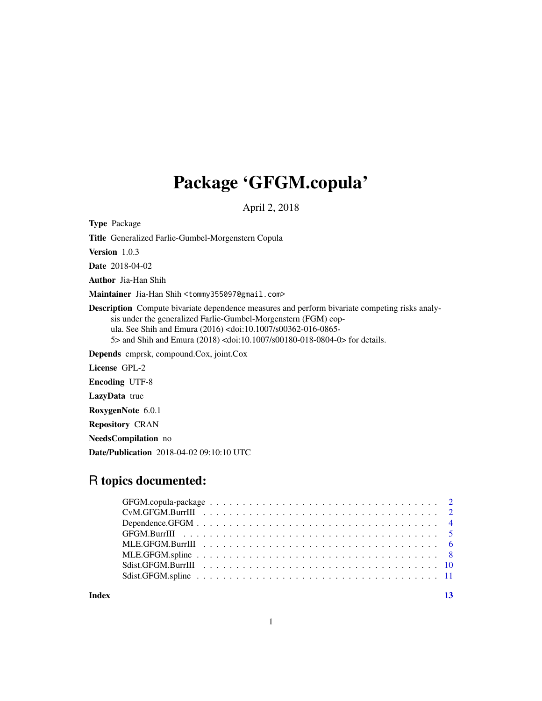## Package 'GFGM.copula'

April 2, 2018

Type Package

Title Generalized Farlie-Gumbel-Morgenstern Copula

Version 1.0.3

Date 2018-04-02

Author Jia-Han Shih

Maintainer Jia-Han Shih <tommy355097@gmail.com>

Description Compute bivariate dependence measures and perform bivariate competing risks analysis under the generalized Farlie-Gumbel-Morgenstern (FGM) copula. See Shih and Emura (2016) <doi:10.1007/s00362-016-0865- 5> and Shih and Emura (2018) <doi:10.1007/s00180-018-0804-0> for details.

Depends cmprsk, compound.Cox, joint.Cox

License GPL-2

Encoding UTF-8

LazyData true

RoxygenNote 6.0.1

Repository CRAN

NeedsCompilation no

Date/Publication 2018-04-02 09:10:10 UTC

## R topics documented:

**Index** [13](#page-12-0)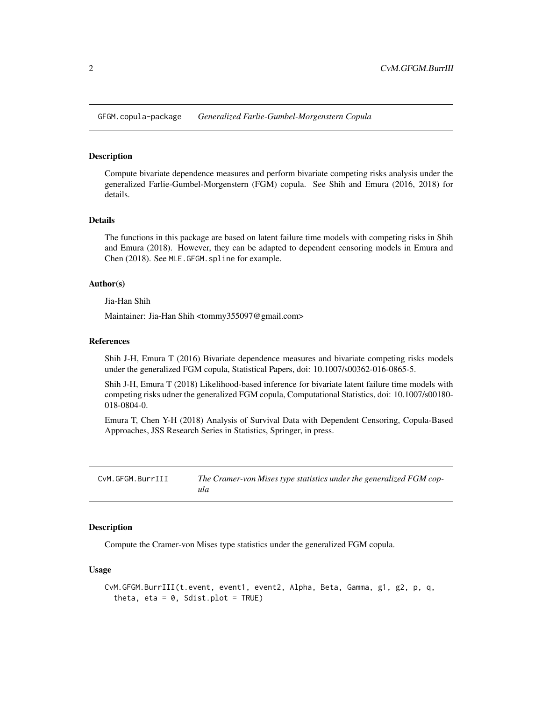<span id="page-1-0"></span>GFGM.copula-package *Generalized Farlie-Gumbel-Morgenstern Copula*

#### **Description**

Compute bivariate dependence measures and perform bivariate competing risks analysis under the generalized Farlie-Gumbel-Morgenstern (FGM) copula. See Shih and Emura (2016, 2018) for details.

#### Details

The functions in this package are based on latent failure time models with competing risks in Shih and Emura (2018). However, they can be adapted to dependent censoring models in Emura and Chen (2018). See MLE.GFGM.spline for example.

#### Author(s)

Jia-Han Shih

Maintainer: Jia-Han Shih <tommy355097@gmail.com>

## References

Shih J-H, Emura T (2016) Bivariate dependence measures and bivariate competing risks models under the generalized FGM copula, Statistical Papers, doi: 10.1007/s00362-016-0865-5.

Shih J-H, Emura T (2018) Likelihood-based inference for bivariate latent failure time models with competing risks udner the generalized FGM copula, Computational Statistics, doi: 10.1007/s00180- 018-0804-0.

Emura T, Chen Y-H (2018) Analysis of Survival Data with Dependent Censoring, Copula-Based Approaches, JSS Research Series in Statistics, Springer, in press.

| CvM.GFGM.BurrIII | The Cramer-von Mises type statistics under the generalized FGM cop- |
|------------------|---------------------------------------------------------------------|
|                  | ula                                                                 |

#### Description

Compute the Cramer-von Mises type statistics under the generalized FGM copula.

```
CvM.GFGM.BurrIII(t.event, event1, event2, Alpha, Beta, Gamma, g1, g2, p, q,
  theta, eta = 0, Sdist.plot = TRUE)
```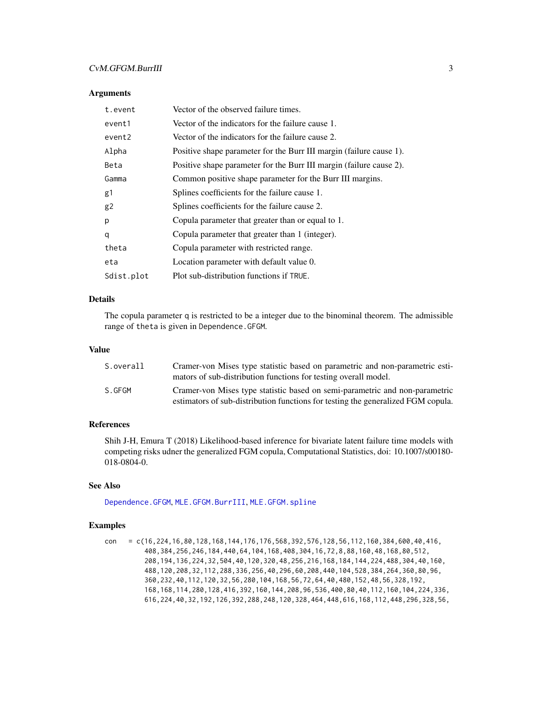## <span id="page-2-0"></span>CvM.GFGM.BurrIII 3

#### **Arguments**

| t.event        | Vector of the observed failure times.                               |
|----------------|---------------------------------------------------------------------|
| event1         | Vector of the indicators for the failure cause 1.                   |
| event2         | Vector of the indicators for the failure cause 2.                   |
| Alpha          | Positive shape parameter for the Burr III margin (failure cause 1). |
| Beta           | Positive shape parameter for the Burr III margin (failure cause 2). |
| Gamma          | Common positive shape parameter for the Burr III margins.           |
| g1             | Splines coefficients for the failure cause 1.                       |
| g <sub>2</sub> | Splines coefficients for the failure cause 2.                       |
| р              | Copula parameter that greater than or equal to 1.                   |
| q              | Copula parameter that greater than 1 (integer).                     |
| theta          | Copula parameter with restricted range.                             |
| eta            | Location parameter with default value 0.                            |
| Sdist.plot     | Plot sub-distribution functions if TRUE.                            |

#### Details

The copula parameter q is restricted to be a integer due to the binominal theorem. The admissible range of theta is given in Dependence.GFGM.

#### Value

| S.overall | Cramer-von Mises type statistic based on parametric and non-parametric esti-<br>mators of sub-distribution functions for testing overall model.                 |
|-----------|-----------------------------------------------------------------------------------------------------------------------------------------------------------------|
| S.GFGM    | Cramer-von Mises type statistic based on semi-parametric and non-parametric<br>estimators of sub-distribution functions for testing the generalized FGM copula. |

#### References

Shih J-H, Emura T (2018) Likelihood-based inference for bivariate latent failure time models with competing risks udner the generalized FGM copula, Computational Statistics, doi: 10.1007/s00180- 018-0804-0.

#### See Also

[Dependence.GFGM](#page-3-1), [MLE.GFGM.BurrIII](#page-5-1), [MLE.GFGM.spline](#page-7-1)

## Examples

con = c(16,224,16,80,128,168,144,176,176,568,392,576,128,56,112,160,384,600,40,416, 408,384,256,246,184,440,64,104,168,408,304,16,72,8,88,160,48,168,80,512, 208,194,136,224,32,504,40,120,320,48,256,216,168,184,144,224,488,304,40,160, 488,120,208,32,112,288,336,256,40,296,60,208,440,104,528,384,264,360,80,96, 360,232,40,112,120,32,56,280,104,168,56,72,64,40,480,152,48,56,328,192, 168,168,114,280,128,416,392,160,144,208,96,536,400,80,40,112,160,104,224,336, 616,224,40,32,192,126,392,288,248,120,328,464,448,616,168,112,448,296,328,56,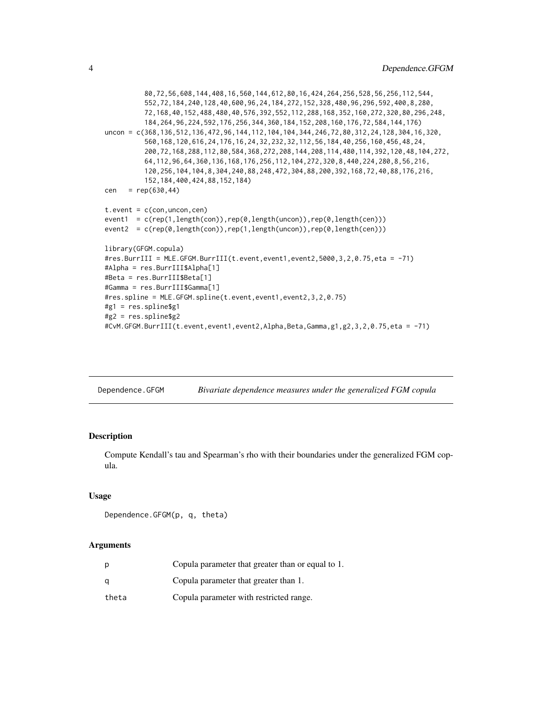```
80,72,56,608,144,408,16,560,144,612,80,16,424,264,256,528,56,256,112,544,
          552,72,184,240,128,40,600,96,24,184,272,152,328,480,96,296,592,400,8,280,
          72,168,40,152,488,480,40,576,392,552,112,288,168,352,160,272,320,80,296,248,
          184,264,96,224,592,176,256,344,360,184,152,208,160,176,72,584,144,176)
uncon = c(368,136,512,136,472,96,144,112,104,104,344,246,72,80,312,24,128,304,16,320,
          560,168,120,616,24,176,16,24,32,232,32,112,56,184,40,256,160,456,48,24,
          200,72,168,288,112,80,584,368,272,208,144,208,114,480,114,392,120,48,104,272,
          64,112,96,64,360,136,168,176,256,112,104,272,320,8,440,224,280,8,56,216,
          120,256,104,104,8,304,240,88,248,472,304,88,200,392,168,72,40,88,176,216,
          152,184,400,424,88,152,184)
cen = rep(630, 44)t.event = c(con, uncon, cen)
event1 = c(rep(1,length(con)),rep(0,length(uncon)),rep(0,length(cen)))
event2 = c(rep(0,length(con)),rep(1,length(uncon)),rep(0,length(cen)))
library(GFGM.copula)
#res.BurrIII = MLE.GFGM.BurrIII(t.event,event1,event2,5000,3,2,0.75,eta = -71)
#Alpha = res.BurrIII$Alpha[1]
#Beta = res.BurrIII$Beta[1]
#Gamma = res.BurrIII$Gamma[1]
#res.spline = MLE.GFGM.spline(t.event,event1,event2,3,2,0.75)
#g1 = res.spline$g1
#g2 = res.spline$g2
#CvM.GFGM.BurrIII(t.event,event1,event2,Alpha,Beta,Gamma,g1,g2,3,2,0.75,eta = -71)
```
<span id="page-3-1"></span>

| Dependence.GFGM | Bivariate dependence measures under the generalized FGM copula |  |
|-----------------|----------------------------------------------------------------|--|
|                 |                                                                |  |

## Description

Compute Kendall's tau and Spearman's rho with their boundaries under the generalized FGM copula.

#### Usage

```
Dependence.GFGM(p, q, theta)
```
#### Arguments

| D     | Copula parameter that greater than or equal to 1. |
|-------|---------------------------------------------------|
| α     | Copula parameter that greater than 1.             |
| theta | Copula parameter with restricted range.           |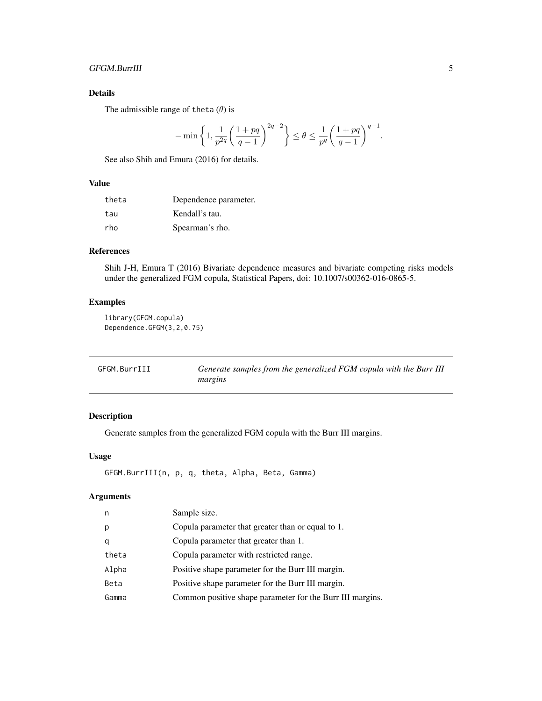## <span id="page-4-0"></span>GFGM.BurrIII 5

## Details

The admissible range of theta  $(\theta)$  is

$$
-\min\left\{1,\frac{1}{p^{2q}}\left(\frac{1+pq}{q-1}\right)^{2q-2}\right\} \le \theta \le \frac{1}{p^q}\left(\frac{1+pq}{q-1}\right)^{q-1}
$$

See also Shih and Emura (2016) for details.

## Value

| theta | Dependence parameter. |
|-------|-----------------------|
| tau   | Kendall's tau.        |
| rho   | Spearman's rho.       |

## References

Shih J-H, Emura T (2016) Bivariate dependence measures and bivariate competing risks models under the generalized FGM copula, Statistical Papers, doi: 10.1007/s00362-016-0865-5.

## Examples

library(GFGM.copula) Dependence.GFGM(3,2,0.75)

| GFGM.BurrIII | Generate samples from the generalized FGM copula with the Burr III |
|--------------|--------------------------------------------------------------------|
|              | margins                                                            |

## Description

Generate samples from the generalized FGM copula with the Burr III margins.

## Usage

```
GFGM.BurrIII(n, p, q, theta, Alpha, Beta, Gamma)
```
## Arguments

| n     | Sample size.                                              |
|-------|-----------------------------------------------------------|
| р     | Copula parameter that greater than or equal to 1.         |
| q     | Copula parameter that greater than 1.                     |
| theta | Copula parameter with restricted range.                   |
| Alpha | Positive shape parameter for the Burr III margin.         |
| Beta  | Positive shape parameter for the Burr III margin.         |
| Gamma | Common positive shape parameter for the Burr III margins. |

.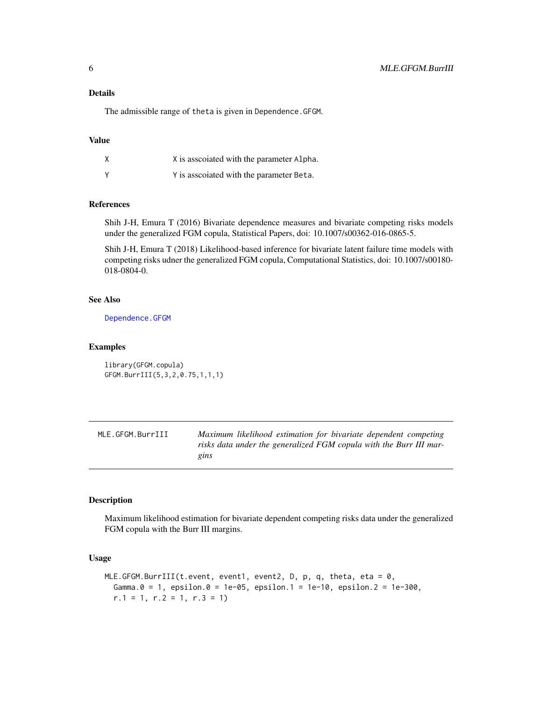<span id="page-5-0"></span>The admissible range of theta is given in Dependence.GFGM.

## Value

| X | X is associated with the parameter Alpha. |
|---|-------------------------------------------|
| Y | Y is associated with the parameter Beta.  |

## References

Shih J-H, Emura T (2016) Bivariate dependence measures and bivariate competing risks models under the generalized FGM copula, Statistical Papers, doi: 10.1007/s00362-016-0865-5.

Shih J-H, Emura T (2018) Likelihood-based inference for bivariate latent failure time models with competing risks udner the generalized FGM copula, Computational Statistics, doi: 10.1007/s00180- 018-0804-0.

#### See Also

[Dependence.GFGM](#page-3-1)

#### Examples

```
library(GFGM.copula)
GFGM.BurrIII(5,3,2,0.75,1,1,1)
```
<span id="page-5-1"></span>MLE.GFGM.BurrIII *Maximum likelihood estimation for bivariate dependent competing risks data under the generalized FGM copula with the Burr III margins*

#### Description

Maximum likelihood estimation for bivariate dependent competing risks data under the generalized FGM copula with the Burr III margins.

```
MLE.GFGM.BurrIII(t.event, event1, event2, D, p, q, theta, eta = 0,
 Gamma.0 = 1, epsilon.0 = 1e-05, epsilon.1 = 1e-10, epsilon.2 = 1e-300,
  r.1 = 1, r.2 = 1, r.3 = 1
```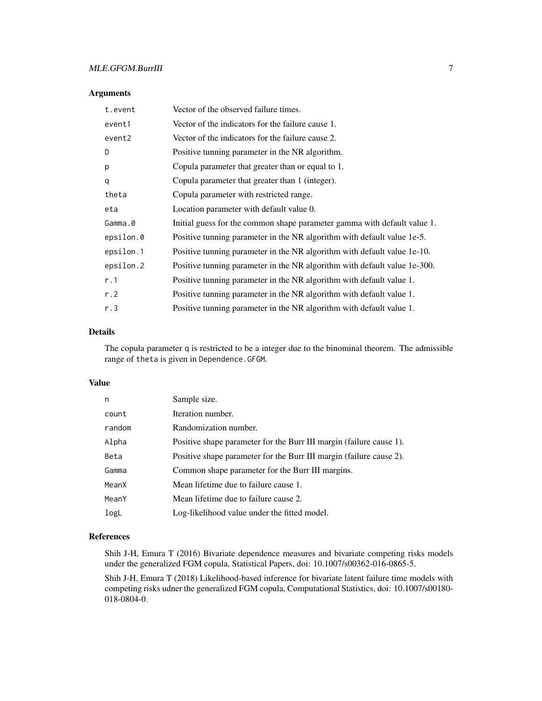## Arguments

| t.event   | Vector of the observed failure times.                                     |
|-----------|---------------------------------------------------------------------------|
| event1    | Vector of the indicators for the failure cause 1.                         |
| event2    | Vector of the indicators for the failure cause 2.                         |
| D         | Positive tunning parameter in the NR algorithm.                           |
| p         | Copula parameter that greater than or equal to 1.                         |
| q         | Copula parameter that greater than 1 (integer).                           |
| theta     | Copula parameter with restricted range.                                   |
| eta       | Location parameter with default value 0.                                  |
| Gamma.0   | Initial guess for the common shape parameter gamma with default value 1.  |
| epsilon.0 | Positive tunning parameter in the NR algorithm with default value 1e-5.   |
| epsilon.1 | Positive tunning parameter in the NR algorithm with default value 1e-10.  |
| epsilon.2 | Positive tunning parameter in the NR algorithm with default value 1e-300. |
| r.1       | Positive tunning parameter in the NR algorithm with default value 1.      |
| r.2       | Positive tunning parameter in the NR algorithm with default value 1.      |
| r.3       | Positive tunning parameter in the NR algorithm with default value 1.      |

### Details

The copula parameter q is restricted to be a integer due to the binominal theorem. The admissible range of theta is given in Dependence.GFGM.

#### Value

| n      | Sample size.                                                        |
|--------|---------------------------------------------------------------------|
| count  | Iteration number.                                                   |
| random | Randomization number.                                               |
| Alpha  | Positive shape parameter for the Burr III margin (failure cause 1). |
| Beta   | Positive shape parameter for the Burr III margin (failure cause 2). |
| Gamma  | Common shape parameter for the Burr III margins.                    |
| MeanX  | Mean lifetime due to failure cause 1.                               |
| MeanY  | Mean lifetime due to failure cause 2.                               |
| logL   | Log-likelihood value under the fitted model.                        |

#### References

Shih J-H, Emura T (2016) Bivariate dependence measures and bivariate competing risks models under the generalized FGM copula, Statistical Papers, doi: 10.1007/s00362-016-0865-5.

Shih J-H, Emura T (2018) Likelihood-based inference for bivariate latent failure time models with competing risks udner the generalized FGM copula, Computational Statistics, doi: 10.1007/s00180- 018-0804-0.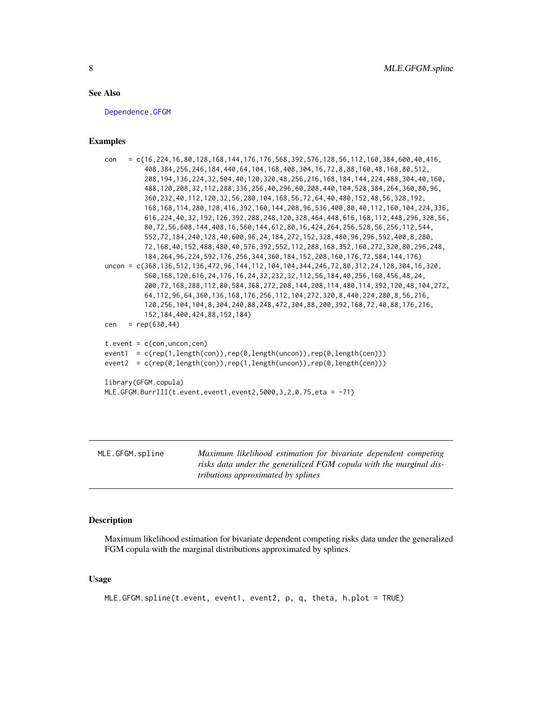#### <span id="page-7-0"></span>See Also

[Dependence.GFGM](#page-3-1)

## Examples

```
con = c(16,224,16,80,128,168,144,176,176,568,392,576,128,56,112,160,384,600,40,416,
          408,384,256,246,184,440,64,104,168,408,304,16,72,8,88,160,48,168,80,512,
          208,194,136,224,32,504,40,120,320,48,256,216,168,184,144,224,488,304,40,160,
          488,120,208,32,112,288,336,256,40,296,60,208,440,104,528,384,264,360,80,96,
          360,232,40,112,120,32,56,280,104,168,56,72,64,40,480,152,48,56,328,192,
          168,168,114,280,128,416,392,160,144,208,96,536,400,80,40,112,160,104,224,336,
          616,224,40,32,192,126,392,288,248,120,328,464,448,616,168,112,448,296,328,56,
          80,72,56,608,144,408,16,560,144,612,80,16,424,264,256,528,56,256,112,544,
          552,72,184,240,128,40,600,96,24,184,272,152,328,480,96,296,592,400,8,280,
          72,168,40,152,488,480,40,576,392,552,112,288,168,352,160,272,320,80,296,248,
          184,264,96,224,592,176,256,344,360,184,152,208,160,176,72,584,144,176)
uncon = c(368,136,512,136,472,96,144,112,104,104,344,246,72,80,312,24,128,304,16,320,
          560,168,120,616,24,176,16,24,32,232,32,112,56,184,40,256,160,456,48,24,
          200,72,168,288,112,80,584,368,272,208,144,208,114,480,114,392,120,48,104,272,
          64,112,96,64,360,136,168,176,256,112,104,272,320,8,440,224,280,8,56,216,
          120,256,104,104,8,304,240,88,248,472,304,88,200,392,168,72,40,88,176,216,
          152,184,400,424,88,152,184)
cen = rep(630, 44)t.event = c(con, uncon, cen)
event1 = c(rep(1,length(con)),rep(0,length(uncon)),rep(0,length(cen)))
event2 = c(rep(0,length(con)),rep(1,length(uncon)),rep(0,length(cen)))
library(GFGM.copula)
MLE.GFGM.BurrIII(t.event,event1,event2,5000,3,2,0.75,eta = -71)
```
<span id="page-7-1"></span>MLE.GFGM.spline *Maximum likelihood estimation for bivariate dependent competing risks data under the generalized FGM copula with the marginal distributions approximated by splines*

## **Description**

Maximum likelihood estimation for bivariate dependent competing risks data under the generalized FGM copula with the marginal distributions approximated by splines.

```
MLE.GFGM.spline(t.event, event1, event2, p, q, theta, h.plot = TRUE)
```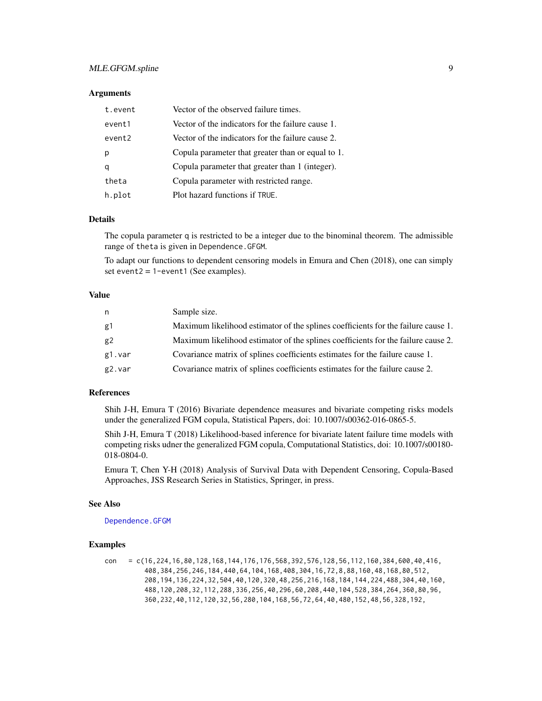## <span id="page-8-0"></span>MLE.GFGM.spline 9

#### **Arguments**

| t.event | Vector of the observed failure times.             |
|---------|---------------------------------------------------|
| event1  | Vector of the indicators for the failure cause 1. |
| event2  | Vector of the indicators for the failure cause 2. |
| р       | Copula parameter that greater than or equal to 1. |
| a       | Copula parameter that greater than 1 (integer).   |
| theta   | Copula parameter with restricted range.           |
| h.plot  | Plot hazard functions if TRUE.                    |

#### Details

The copula parameter q is restricted to be a integer due to the binominal theorem. The admissible range of theta is given in Dependence.GFGM.

To adapt our functions to dependent censoring models in Emura and Chen (2018), one can simply set event $2 = 1$ -event $1$  (See examples).

## Value

| n      | Sample size.                                                                      |
|--------|-----------------------------------------------------------------------------------|
| g1     | Maximum likelihood estimator of the splines coefficients for the failure cause 1. |
| g2     | Maximum likelihood estimator of the splines coefficients for the failure cause 2. |
| g1.var | Covariance matrix of splines coefficients estimates for the failure cause 1.      |
| g2.var | Covariance matrix of splines coefficients estimates for the failure cause 2.      |

## References

Shih J-H, Emura T (2016) Bivariate dependence measures and bivariate competing risks models under the generalized FGM copula, Statistical Papers, doi: 10.1007/s00362-016-0865-5.

Shih J-H, Emura T (2018) Likelihood-based inference for bivariate latent failure time models with competing risks udner the generalized FGM copula, Computational Statistics, doi: 10.1007/s00180- 018-0804-0.

Emura T, Chen Y-H (2018) Analysis of Survival Data with Dependent Censoring, Copula-Based Approaches, JSS Research Series in Statistics, Springer, in press.

#### See Also

[Dependence.GFGM](#page-3-1)

## Examples

con = c(16,224,16,80,128,168,144,176,176,568,392,576,128,56,112,160,384,600,40,416, 408,384,256,246,184,440,64,104,168,408,304,16,72,8,88,160,48,168,80,512, 208,194,136,224,32,504,40,120,320,48,256,216,168,184,144,224,488,304,40,160, 488,120,208,32,112,288,336,256,40,296,60,208,440,104,528,384,264,360,80,96, 360,232,40,112,120,32,56,280,104,168,56,72,64,40,480,152,48,56,328,192,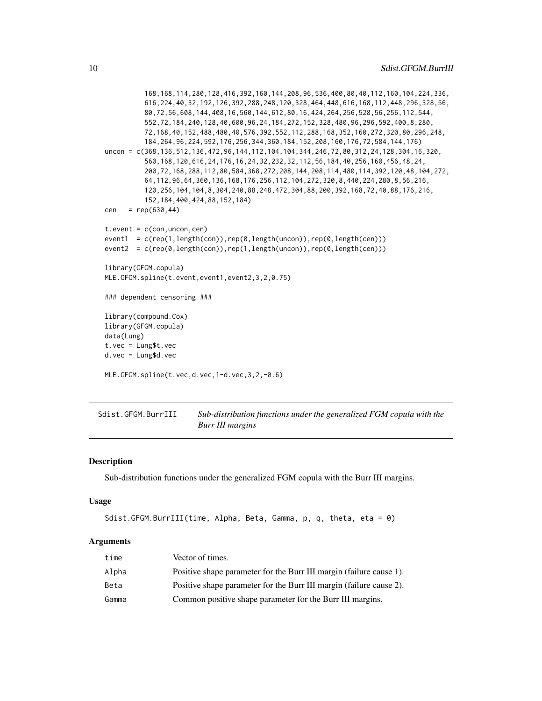```
168,168,114,280,128,416,392,160,144,208,96,536,400,80,40,112,160,104,224,336,
          616,224,40,32,192,126,392,288,248,120,328,464,448,616,168,112,448,296,328,56,
          80,72,56,608,144,408,16,560,144,612,80,16,424,264,256,528,56,256,112,544,
          552,72,184,240,128,40,600,96,24,184,272,152,328,480,96,296,592,400,8,280,
          72,168,40,152,488,480,40,576,392,552,112,288,168,352,160,272,320,80,296,248,
          184,264,96,224,592,176,256,344,360,184,152,208,160,176,72,584,144,176)
uncon = c(368,136,512,136,472,96,144,112,104,104,344,246,72,80,312,24,128,304,16,320,
          560,168,120,616,24,176,16,24,32,232,32,112,56,184,40,256,160,456,48,24,
          200,72,168,288,112,80,584,368,272,208,144,208,114,480,114,392,120,48,104,272,
          64,112,96,64,360,136,168,176,256,112,104,272,320,8,440,224,280,8,56,216,
          120,256,104,104,8,304,240,88,248,472,304,88,200,392,168,72,40,88,176,216,
          152,184,400,424,88,152,184)
cen = rep(630, 44)t.event = c(con, uncon, cen)
event1 = c(rep(1,length(con)),rep(0,length(uncon)),rep(0,length(cen)))
event2 = c(rep(0,length(con)),rep(1,length(uncon)),rep(0,length(cen)))
library(GFGM.copula)
MLE.GFGM.spline(t.event,event1,event2,3,2,0.75)
### dependent censoring ###
library(compound.Cox)
library(GFGM.copula)
data(Lung)
t.vec = Lung$t.vec
d.vec = Lung$d.vec
MLE.GFGM.spline(t.vec,d.vec,1-d.vec,3,2,-0.6)
```
Sdist.GFGM.BurrIII *Sub-distribution functions under the generalized FGM copula with the Burr III margins*

#### Description

Sub-distribution functions under the generalized FGM copula with the Burr III margins.

#### Usage

```
Sdist.GFGM.BurrIII(time, Alpha, Beta, Gamma, p, q, theta, eta = 0)
```
#### **Arguments**

| time  | Vector of times.                                                    |
|-------|---------------------------------------------------------------------|
| Alpha | Positive shape parameter for the Burr III margin (failure cause 1). |
| Beta  | Positive shape parameter for the Burr III margin (failure cause 2). |
| Gamma | Common positive shape parameter for the Burr III margins.           |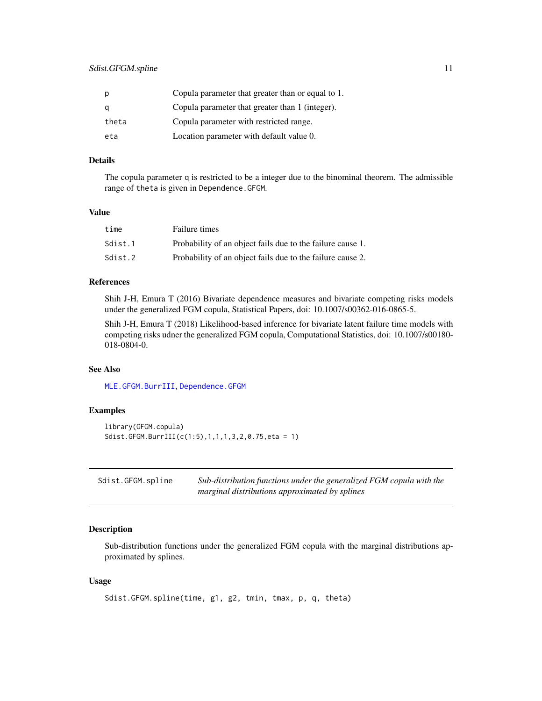<span id="page-10-0"></span>

| р     | Copula parameter that greater than or equal to 1. |
|-------|---------------------------------------------------|
| a     | Copula parameter that greater than 1 (integer).   |
| theta | Copula parameter with restricted range.           |
| eta   | Location parameter with default value 0.          |

## Details

The copula parameter q is restricted to be a integer due to the binominal theorem. The admissible range of theta is given in Dependence.GFGM.

#### Value

| time    | Failure times                                              |
|---------|------------------------------------------------------------|
| Sdist.1 | Probability of an object fails due to the failure cause 1. |
| Sdist.2 | Probability of an object fails due to the failure cause 2. |

## References

Shih J-H, Emura T (2016) Bivariate dependence measures and bivariate competing risks models under the generalized FGM copula, Statistical Papers, doi: 10.1007/s00362-016-0865-5.

Shih J-H, Emura T (2018) Likelihood-based inference for bivariate latent failure time models with competing risks udner the generalized FGM copula, Computational Statistics, doi: 10.1007/s00180- 018-0804-0.

## See Also

[MLE.GFGM.BurrIII](#page-5-1), [Dependence.GFGM](#page-3-1)

#### Examples

```
library(GFGM.copula)
Sdist.GFGM.BurrIII(c(1:5),1,1,1,3,2,0.75,eta = 1)
```

| Sdist.GFGM.spline | Sub-distribution functions under the generalized FGM copula with the |
|-------------------|----------------------------------------------------------------------|
|                   | marginal distributions approximated by splines                       |

## Description

Sub-distribution functions under the generalized FGM copula with the marginal distributions approximated by splines.

```
Sdist.GFGM.spline(time, g1, g2, tmin, tmax, p, q, theta)
```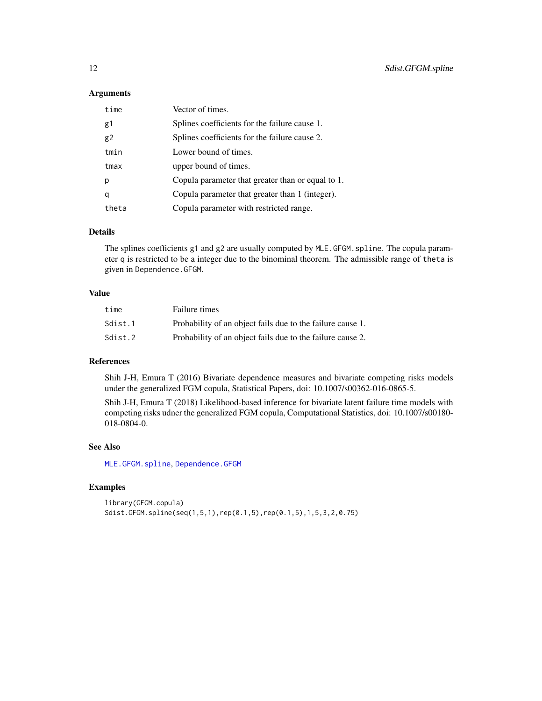## <span id="page-11-0"></span>Arguments

| time  | Vector of times.                                  |
|-------|---------------------------------------------------|
| g1    | Splines coefficients for the failure cause 1.     |
| g2    | Splines coefficients for the failure cause 2.     |
| tmin  | Lower bound of times.                             |
| tmax  | upper bound of times.                             |
| р     | Copula parameter that greater than or equal to 1. |
| q     | Copula parameter that greater than 1 (integer).   |
| theta | Copula parameter with restricted range.           |

## Details

The splines coefficients g1 and g2 are usually computed by MLE.GFGM.spline. The copula parameter q is restricted to be a integer due to the binominal theorem. The admissible range of theta is given in Dependence.GFGM.

### Value

| time    | Failure times                                              |
|---------|------------------------------------------------------------|
| Sdist.1 | Probability of an object fails due to the failure cause 1. |
| Sdist.2 | Probability of an object fails due to the failure cause 2. |

## References

Shih J-H, Emura T (2016) Bivariate dependence measures and bivariate competing risks models under the generalized FGM copula, Statistical Papers, doi: 10.1007/s00362-016-0865-5.

Shih J-H, Emura T (2018) Likelihood-based inference for bivariate latent failure time models with competing risks udner the generalized FGM copula, Computational Statistics, doi: 10.1007/s00180- 018-0804-0.

## See Also

[MLE.GFGM.spline](#page-7-1), [Dependence.GFGM](#page-3-1)

## Examples

library(GFGM.copula) Sdist.GFGM.spline(seq(1,5,1),rep(0.1,5),rep(0.1,5),1,5,3,2,0.75)